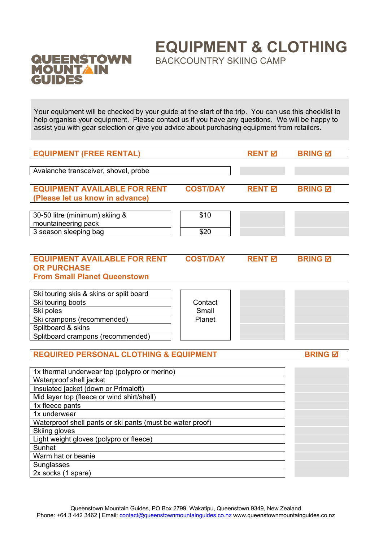## QUEENSTOWN<br>MOUNTAIN<br>GUIDES

**EQUIPMENT & CLOTHING**

BACKCOUNTRY SKIING CAMP

Your equipment will be checked by your guide at the start of the trip. You can use this checklist to help organise your equipment. Please contact us if you have any questions. We will be happy to assist you with gear selection or give you advice about purchasing equipment from retailers.

| <b>EQUIPMENT (FREE RENTAL)</b>                                                                                                                                                                                                                                                                                                                                                                |                            | <b>RENT</b> <sub>⊠</sub> | <b>BRING M</b> |
|-----------------------------------------------------------------------------------------------------------------------------------------------------------------------------------------------------------------------------------------------------------------------------------------------------------------------------------------------------------------------------------------------|----------------------------|--------------------------|----------------|
|                                                                                                                                                                                                                                                                                                                                                                                               |                            |                          |                |
| Avalanche transceiver, shovel, probe                                                                                                                                                                                                                                                                                                                                                          |                            |                          |                |
| <b>EQUIPMENT AVAILABLE FOR RENT</b><br>(Please let us know in advance)                                                                                                                                                                                                                                                                                                                        | <b>COST/DAY</b>            | <b>RENT</b> 团            | <b>BRING M</b> |
| 30-50 litre (minimum) skiing &<br>mountaineering pack<br>3 season sleeping bag                                                                                                                                                                                                                                                                                                                | \$10<br>\$20               |                          |                |
|                                                                                                                                                                                                                                                                                                                                                                                               |                            |                          |                |
| <b>EQUIPMENT AVAILABLE FOR RENT</b><br><b>OR PURCHASE</b><br><b>From Small Planet Queenstown</b>                                                                                                                                                                                                                                                                                              | <b>COST/DAY</b>            | <b>RENT M</b>            | <b>BRING Ø</b> |
|                                                                                                                                                                                                                                                                                                                                                                                               |                            |                          |                |
| Ski touring skis & skins or split board<br>Ski touring boots<br>Ski poles<br>Ski crampons (recommended)<br>Splitboard & skins                                                                                                                                                                                                                                                                 | Contact<br>Small<br>Planet |                          |                |
| Splitboard crampons (recommended)                                                                                                                                                                                                                                                                                                                                                             |                            |                          |                |
| <b>REQUIRED PERSONAL CLOTHING &amp; EQUIPMENT</b>                                                                                                                                                                                                                                                                                                                                             |                            |                          | <b>BRING M</b> |
| 1x thermal underwear top (polypro or merino)<br>Waterproof shell jacket<br>Insulated jacket (down or Primaloft)<br>Mid layer top (fleece or wind shirt/shell)<br>1x fleece pants<br>1x underwear<br>Waterproof shell pants or ski pants (must be water proof)<br>Skiing gloves<br>Light weight gloves (polypro or fleece)<br>Sunhat<br>Warm hat or beanie<br>Sunglasses<br>2x socks (1 spare) |                            |                          |                |